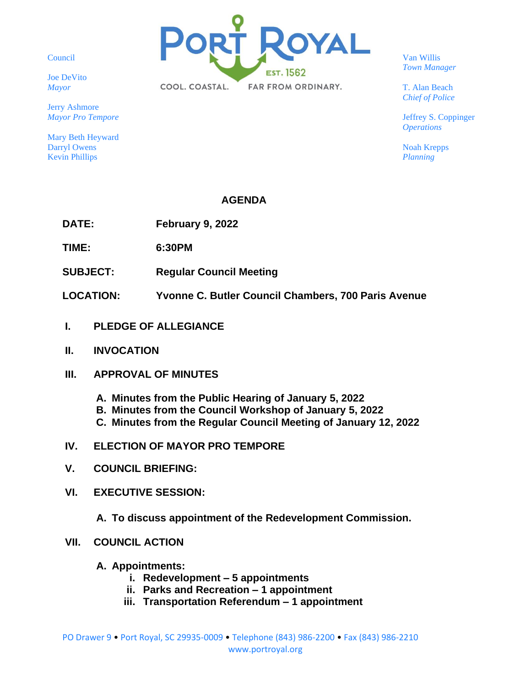Council

Joe DeVito *Mayor*

Jerry Ashmore *Mayor Pro Tempore*

Mary Beth Heyward Darryl Owens Kevin Phillips



Van Willis *Town Manager*

T. Alan Beach *Chief of Police*

Jeffrey S. Coppinger *Operations*

Noah Krepps *Planning*

## **AGENDA**

**DATE: February 9, 2022**

**TIME: 6:30PM**

- **SUBJECT: Regular Council Meeting**
- **LOCATION: Yvonne C. Butler Council Chambers, 700 Paris Avenue**
- **I. PLEDGE OF ALLEGIANCE**
- **II. INVOCATION**
- **III. APPROVAL OF MINUTES**
	- **A. Minutes from the Public Hearing of January 5, 2022**
	- **B. Minutes from the Council Workshop of January 5, 2022**
	- **C. Minutes from the Regular Council Meeting of January 12, 2022**
- **IV. ELECTION OF MAYOR PRO TEMPORE**
- **V. COUNCIL BRIEFING:**
- **VI. EXECUTIVE SESSION:**

**A. To discuss appointment of the Redevelopment Commission.** 

- **VII. COUNCIL ACTION**
	- **A. Appointments:**
		- **i. Redevelopment – 5 appointments**
		- **ii. Parks and Recreation – 1 appointment**
		- **iii. Transportation Referendum – 1 appointment**